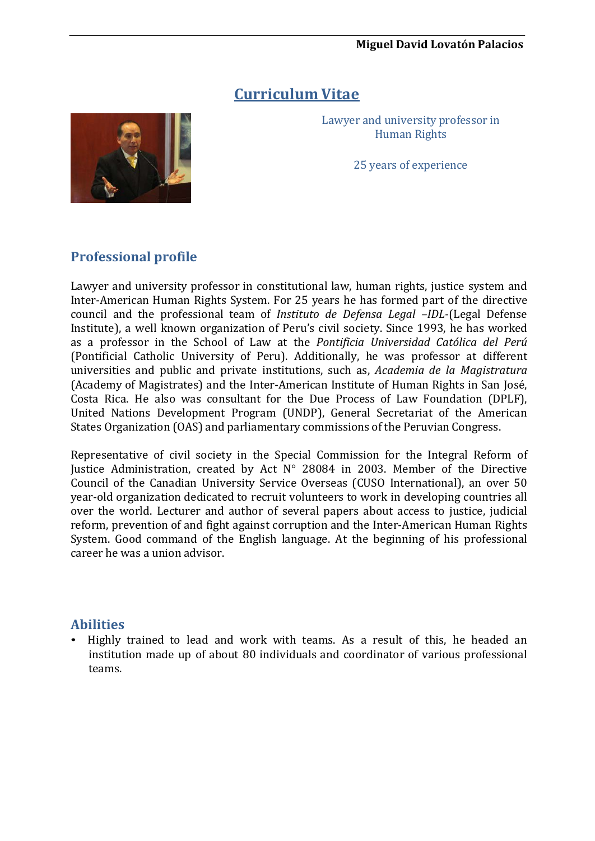#### **Miguel David Lovatón Palacios**

# **Curriculum Vitae**



Lawyer and university professor in Human Rights

25 years of experience

### **Professional profile**

Lawyer and university professor in constitutional law, human rights, justice system and Inter-American Human Rights System. For 25 years he has formed part of the directive council and the professional team of *Instituto de Defensa Legal –IDL*-(Legal Defense Institute), a well known organization of Peru's civil society. Since 1993, he has worked as a professor in the School of Law at the *Pontificia Universidad Católica del Perú*  (Pontificial Catholic University of Peru). Additionally, he was professor at different universities and public and private institutions, such as, *Academia de la Magistratura*  (Academy of Magistrates) and the Inter-American Institute of Human Rights in San José, Costa Rica. He also was consultant for the Due Process of Law Foundation (DPLF), United Nations Development Program (UNDP), General Secretariat of the American States Organization (OAS) and parliamentary commissions of the Peruvian Congress.

Representative of civil society in the Special Commission for the Integral Reform of Justice Administration, created by Act N° 28084 in 2003. Member of the Directive Council of the Canadian University Service Overseas (CUSO International), an over 50 year-old organization dedicated to recruit volunteers to work in developing countries all over the world. Lecturer and author of several papers about access to justice, judicial reform, prevention of and fight against corruption and the Inter-American Human Rights System. Good command of the English language. At the beginning of his professional career he was a union advisor.

### **Abilities**

• Highly trained to lead and work with teams. As a result of this, he headed an institution made up of about 80 individuals and coordinator of various professional teams.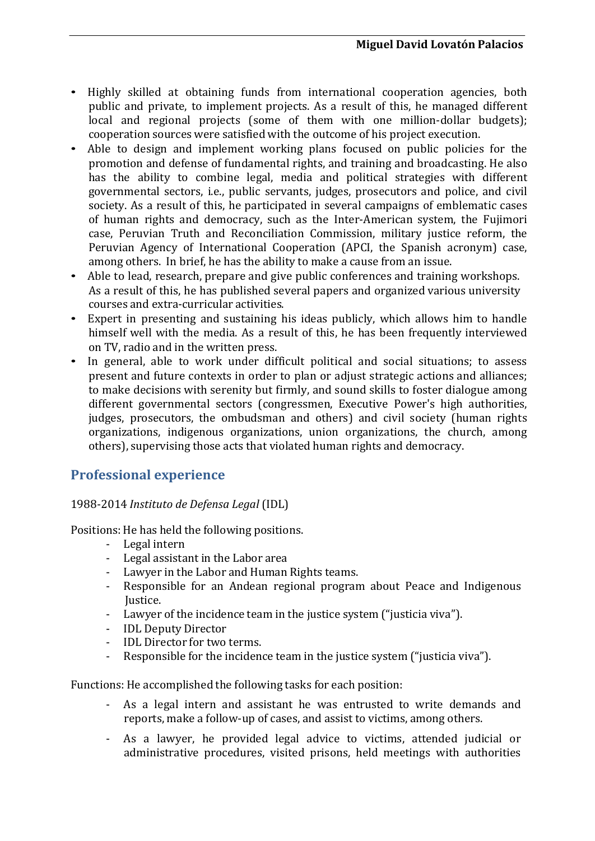- Highly skilled at obtaining funds from international cooperation agencies, both public and private, to implement projects. As a result of this, he managed different local and regional projects (some of them with one million-dollar budgets); cooperation sources were satisfied with the outcome of his project execution.
- Able to design and implement working plans focused on public policies for the promotion and defense of fundamental rights, and training and broadcasting. He also has the ability to combine legal, media and political strategies with different governmental sectors, i.e., public servants, judges, prosecutors and police, and civil society. As a result of this, he participated in several campaigns of emblematic cases of human rights and democracy, such as the Inter-American system, the Fujimori case, Peruvian Truth and Reconciliation Commission, military justice reform, the Peruvian Agency of International Cooperation (APCI, the Spanish acronym) case, among others. In brief, he has the ability to make a cause from an issue.
- Able to lead, research, prepare and give public conferences and training workshops. As a result of this, he has published several papers and organized various university courses and extra-curricular activities.
- Expert in presenting and sustaining his ideas publicly, which allows him to handle himself well with the media. As a result of this, he has been frequently interviewed on TV, radio and in the written press.
- In general, able to work under difficult political and social situations; to assess present and future contexts in order to plan or adjust strategic actions and alliances; to make decisions with serenity but firmly, and sound skills to foster dialogue among different governmental sectors (congressmen, Executive Power's high authorities, judges, prosecutors, the ombudsman and others) and civil society (human rights organizations, indigenous organizations, union organizations, the church, among others), supervising those acts that violated human rights and democracy.

## **Professional experience**

1988-2014 *Instituto de Defensa Legal* (IDL)

Positions: He has held the following positions.

- Legal intern
- Legal assistant in the Labor area
- Lawyer in the Labor and Human Rights teams.<br>- Responsible for an Andean regional program
- Responsible for an Andean regional program about Peace and Indigenous Justice.
- Lawyer of the incidence team in the justice system ("justicia viva").
- IDL Deputy Director<br>- IDL Director for two
- IDL Director for two terms.<br>- Responsible for the incidence
- Responsible for the incidence team in the justice system ("justicia viva").

Functions: He accomplished the following tasks for each position:

- As a legal intern and assistant he was entrusted to write demands and reports, make a follow-up of cases, and assist to victims, among others.
- As a lawyer, he provided legal advice to victims, attended judicial or administrative procedures, visited prisons, held meetings with authorities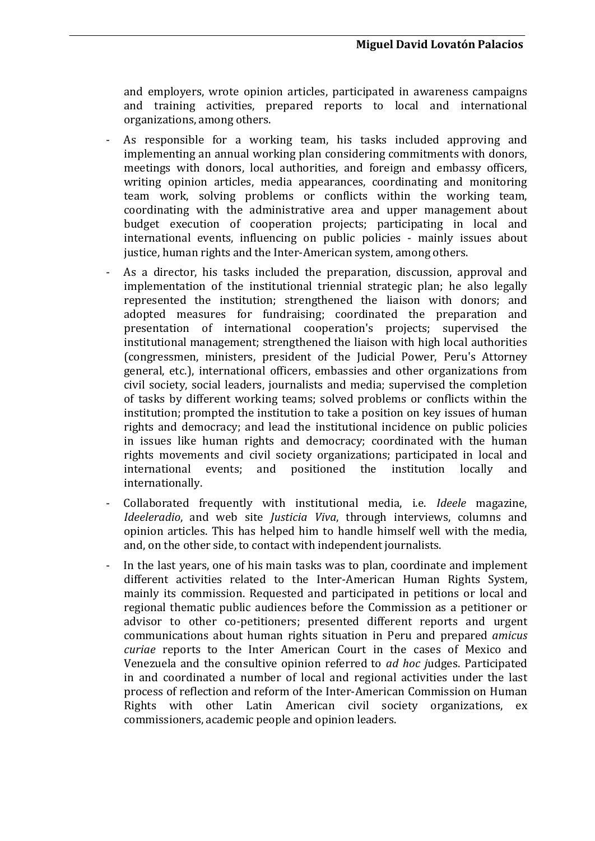and employers, wrote opinion articles, participated in awareness campaigns and training activities, prepared reports to local and international organizations, among others.

- As responsible for a working team, his tasks included approving and implementing an annual working plan considering commitments with donors, meetings with donors, local authorities, and foreign and embassy officers, writing opinion articles, media appearances, coordinating and monitoring team work, solving problems or conflicts within the working team, coordinating with the administrative area and upper management about budget execution of cooperation projects; participating in local and international events, influencing on public policies - mainly issues about justice, human rights and the Inter-American system, among others.
- As a director, his tasks included the preparation, discussion, approval and implementation of the institutional triennial strategic plan; he also legally represented the institution; strengthened the liaison with donors; and adopted measures for fundraising; coordinated the preparation and presentation of international cooperation's projects; supervised the institutional management; strengthened the liaison with high local authorities (congressmen, ministers, president of the Judicial Power, Peru's Attorney general, etc.), international officers, embassies and other organizations from civil society, social leaders, journalists and media; supervised the completion of tasks by different working teams; solved problems or conflicts within the institution; prompted the institution to take a position on key issues of human rights and democracy; and lead the institutional incidence on public policies in issues like human rights and democracy; coordinated with the human rights movements and civil society organizations; participated in local and international events; and positioned the institution locally and positioned the institution internationally.
- Collaborated frequently with institutional media, i.e. *Ideele* magazine, *Ideeleradio*, and web site *Justicia Viva*, through interviews, columns and opinion articles. This has helped him to handle himself well with the media, and, on the other side, to contact with independent journalists.
- In the last years, one of his main tasks was to plan, coordinate and implement different activities related to the Inter-American Human Rights System, mainly its commission. Requested and participated in petitions or local and regional thematic public audiences before the Commission as a petitioner or advisor to other co-petitioners; presented different reports and urgent communications about human rights situation in Peru and prepared *amicus curiae* reports to the Inter American Court in the cases of Mexico and Venezuela and the consultive opinion referred to *ad hoc j*udges. Participated in and coordinated a number of local and regional activities under the last process of reflection and reform of the Inter-American Commission on Human<br>Rights with other Latin American civil society organizations. ex Rights with other Latin American civil society organizations, commissioners, academic people and opinion leaders.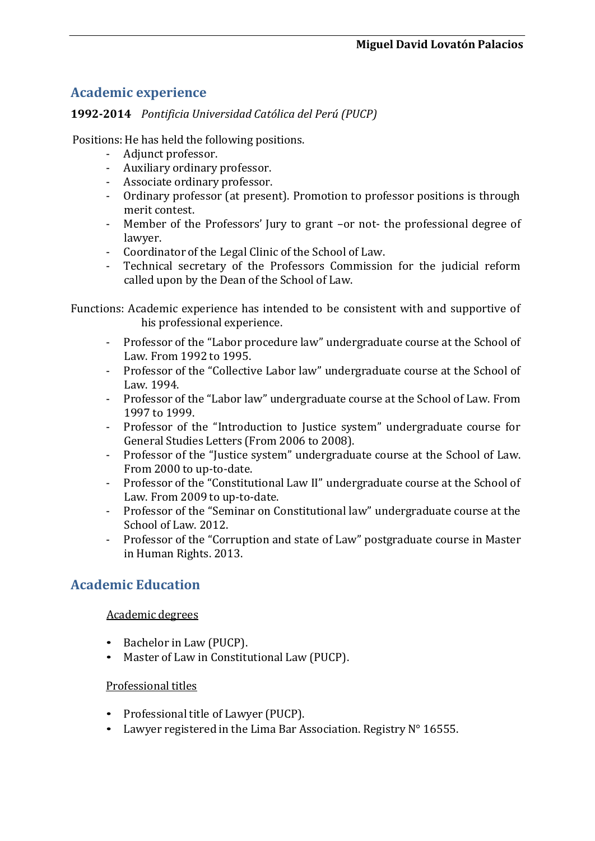## **Academic experience**

### **1992-2014** *Pontificia Universidad Católica del Perú (PUCP)*

Positions: He has held the following positions.

- Adjunct professor.
- Auxiliary ordinary professor.
- Associate ordinary professor.<br>- Ordinary professor (at preser
- Ordinary professor (at present). Promotion to professor positions is through merit contest.
- Member of the Professors' Jury to grant –or not- the professional degree of lawyer.
- Coordinator of the Legal Clinic of the School of Law.
- Technical secretary of the Professors Commission for the judicial reform called upon by the Dean of the School of Law.

Functions: Academic experience has intended to be consistent with and supportive of his professional experience.

- Professor of the "Labor procedure law" undergraduate course at the School of Law. From 1992 to 1995.
- Professor of the "Collective Labor law" undergraduate course at the School of Law. 1994.
- Professor of the "Labor law" undergraduate course at the School of Law. From 1997 to 1999.
- Professor of the "Introduction to Justice system" undergraduate course for General Studies Letters (From 2006 to 2008).
- Professor of the "Justice system" undergraduate course at the School of Law. From 2000 to up-to-date.
- Professor of the "Constitutional Law II" undergraduate course at the School of Law. From 2009 to up-to-date.
- Professor of the "Seminar on Constitutional law" undergraduate course at the School of Law. 2012.
- Professor of the "Corruption and state of Law" postgraduate course in Master in Human Rights. 2013.

## **Academic Education**

### Academic degrees

- Bachelor in Law (PUCP).
- Master of Law in Constitutional Law (PUCP).

#### Professional titles

- Professional title of Lawyer (PUCP).
- Lawyer registered in the Lima Bar Association. Registry N° 16555.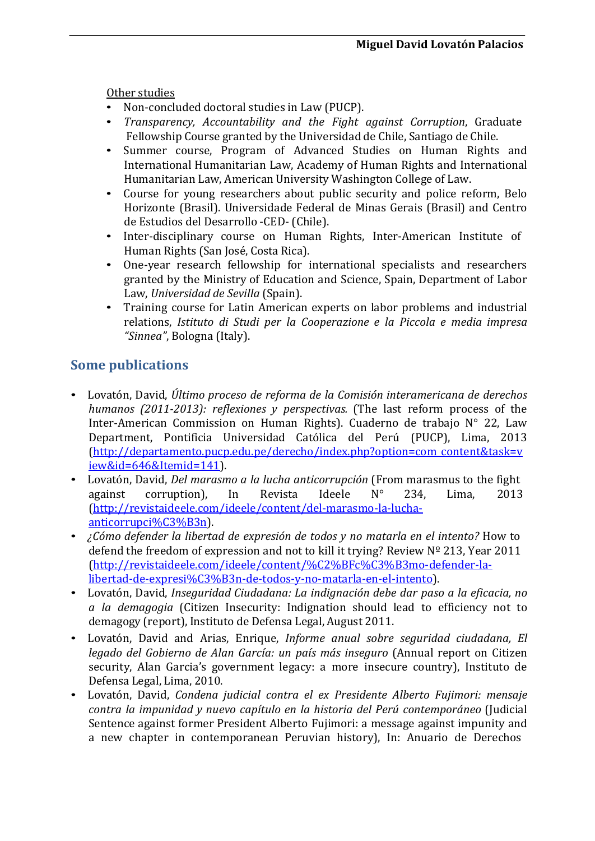Other studies<br>• Non-conclu

- Non-concluded doctoral studies in Law (PUCP).
- *Transparency, Accountability and the Fight against Corruption*, Graduate Fellowship Course granted by the Universidad de Chile, Santiago de Chile.
- Summer course, Program of Advanced Studies on Human Rights and International Humanitarian Law, Academy of Human Rights and International Humanitarian Law, American University Washington College of Law.
- Course for young researchers about public security and police reform, Belo Horizonte (Brasil). Universidade Federal de Minas Gerais (Brasil) and Centro de Estudios del Desarrollo -CED- (Chile).
- Inter-disciplinary course on Human Rights, Inter-American Institute of Human Rights (San José, Costa Rica).
- One-year research fellowship for international specialists and researchers granted by the Ministry of Education and Science, Spain, Department of Labor Law, *Universidad de Sevilla* (Spain).
- Training course for Latin American experts on labor problems and industrial relations, *Istituto di Studi per la Cooperazione e la Piccola e media impresa "Sinnea"*, Bologna (Italy).

# **Some publications**

- Lovatón, David, *Último proceso de reforma de la Comisión interamericana de derechos humanos (2011-2013): reflexiones y perspectivas.* (The last reform process of the Inter-American Commission on Human Rights). Cuaderno de trabajo N° 22, Law Department, Pontificia Universidad Católica del Perú (PUCP), Lima, 2013 [\(http://departamento.pucp.edu.pe/derecho/index.php?option=com\\_content&task=v](http://departamento.pucp.edu.pe/derecho/index.php?option=com_content&task=view&id=646&Itemid=141) [iew&id=646&Itemid=141\)](http://departamento.pucp.edu.pe/derecho/index.php?option=com_content&task=view&id=646&Itemid=141).
- Lovatón, David, *Del marasmo <sup>a</sup> la lucha anticorrupción* (From marasmus to the fight against corruption), In Revista Ideele N° 234, Lima, 2013 [\(http://revistaideele.com/ideele/content/del-marasmo-la-lucha](http://revistaideele.com/ideele/content/del-marasmo-la-lucha-anticorrupci%C3%B3n)[anticorrupci%C3%B3n\)](http://revistaideele.com/ideele/content/del-marasmo-la-lucha-anticorrupci%C3%B3n).
- *¿Cómo defender la libertad de expresión de todos <sup>y</sup> no matarla en el intento?* How to defend the freedom of expression and not to kill it trying? Review  $N<sup>o</sup>$  213, Year 2011 [\(http://revistaideele.com/ideele/content/%C2%BFc%C3%B3mo-defender-la](http://revistaideele.com/ideele/content/%C2%BFc%C3%B3mo-defender-la-libertad-de-expresi%C3%B3n-de-todos-y-no-matarla-en-el-intento)[libertad-de-expresi%C3%B3n-de-todos-y-no-matarla-en-el-intento\)](http://revistaideele.com/ideele/content/%C2%BFc%C3%B3mo-defender-la-libertad-de-expresi%C3%B3n-de-todos-y-no-matarla-en-el-intento).
- Lovatón, David, *Inseguridad Ciudadana: La indignación debe dar paso <sup>a</sup> la eficacia, no a la demagogia* (Citizen Insecurity: Indignation should lead to efficiency not to demagogy (report), Instituto de Defensa Legal, August 2011.
- Lovatón, David and Arias, Enrique, *Informe anual sobre seguridad ciudadana, El legado del Gobierno de Alan García: un país más inseguro* (Annual report on Citizen security, Alan Garcia's government legacy: a more insecure country), Instituto de Defensa Legal, Lima, 2010.
- Lovatón, David, *Condena judicial contra el ex Presidente Alberto Fujimori: mensaje contra la impunidad y nuevo capítulo en la historia del Perú contemporáneo* (Judicial Sentence against former President Alberto Fujimori: a message against impunity and a new chapter in contemporanean Peruvian history), In: Anuario de Derechos